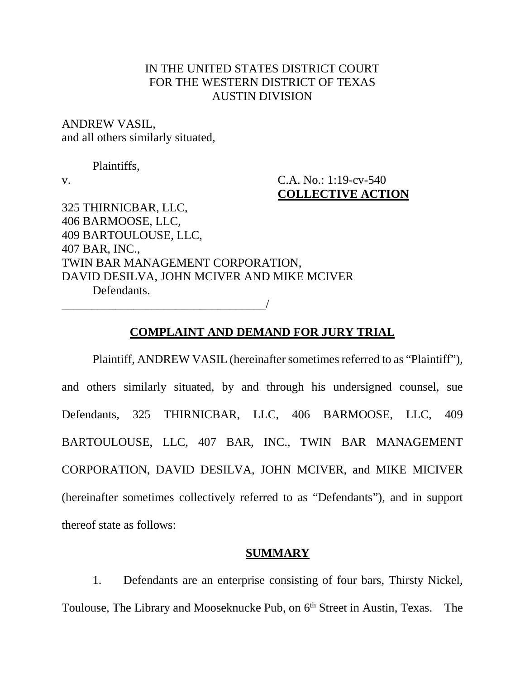## IN THE UNITED STATES DISTRICT COURT FOR THE WESTERN DISTRICT OF TEXAS AUSTIN DIVISION

ANDREW VASIL, and all others similarly situated,

Plaintiffs,

v. C.A. No.: 1:19-cv-540 **COLLECTIVE ACTION**

325 THIRNICBAR, LLC, 406 BARMOOSE, LLC, 409 BARTOULOUSE, LLC, 407 BAR, INC., TWIN BAR MANAGEMENT CORPORATION, DAVID DESILVA, JOHN MCIVER AND MIKE MCIVER Defendants. \_\_\_\_\_\_\_\_\_\_\_\_\_\_\_\_\_\_\_\_\_\_\_\_\_\_\_\_\_\_\_\_\_\_/

#### **COMPLAINT AND DEMAND FOR JURY TRIAL**

Plaintiff, ANDREW VASIL (hereinafter sometimes referred to as "Plaintiff"), and others similarly situated, by and through his undersigned counsel, sue Defendants, 325 THIRNICBAR, LLC, 406 BARMOOSE, LLC, 409 BARTOULOUSE, LLC, 407 BAR, INC., TWIN BAR MANAGEMENT CORPORATION, DAVID DESILVA, JOHN MCIVER, and MIKE MICIVER (hereinafter sometimes collectively referred to as "Defendants"), and in support thereof state as follows:

### **SUMMARY**

1. Defendants are an enterprise consisting of four bars, Thirsty Nickel, Toulouse, The Library and Mooseknucke Pub, on 6<sup>th</sup> Street in Austin, Texas. The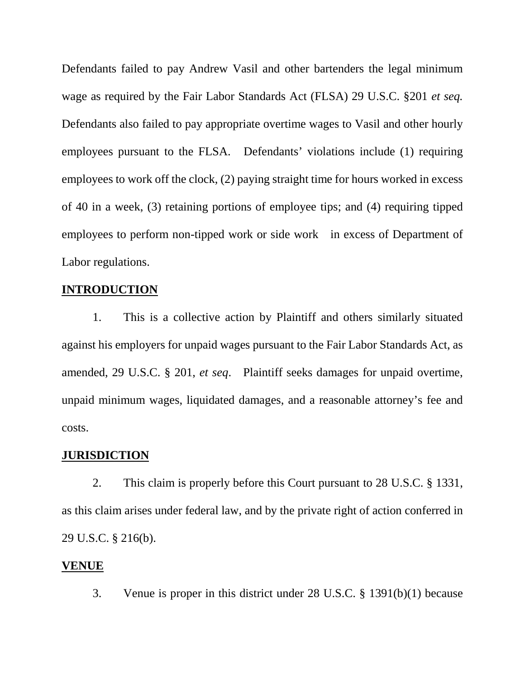Defendants failed to pay Andrew Vasil and other bartenders the legal minimum wage as required by the Fair Labor Standards Act (FLSA) 29 U.S.C. §201 *et seq.*  Defendants also failed to pay appropriate overtime wages to Vasil and other hourly employees pursuant to the FLSA.Defendants' violations include (1) requiring employees to work off the clock, (2) paying straight time for hours worked in excess of 40 in a week, (3) retaining portions of employee tips; and (4) requiring tipped employees to perform non-tipped work or side work in excess of Department of Labor regulations.

### **INTRODUCTION**

1. This is a collective action by Plaintiff and others similarly situated against his employers for unpaid wages pursuant to the Fair Labor Standards Act, as amended, 29 U.S.C. § 201, *et seq*. Plaintiff seeks damages for unpaid overtime, unpaid minimum wages, liquidated damages, and a reasonable attorney's fee and costs.

#### **JURISDICTION**

2. This claim is properly before this Court pursuant to 28 U.S.C. § 1331, as this claim arises under federal law, and by the private right of action conferred in 29 U.S.C. § 216(b).

#### **VENUE**

3. Venue is proper in this district under 28 U.S.C. § 1391(b)(1) because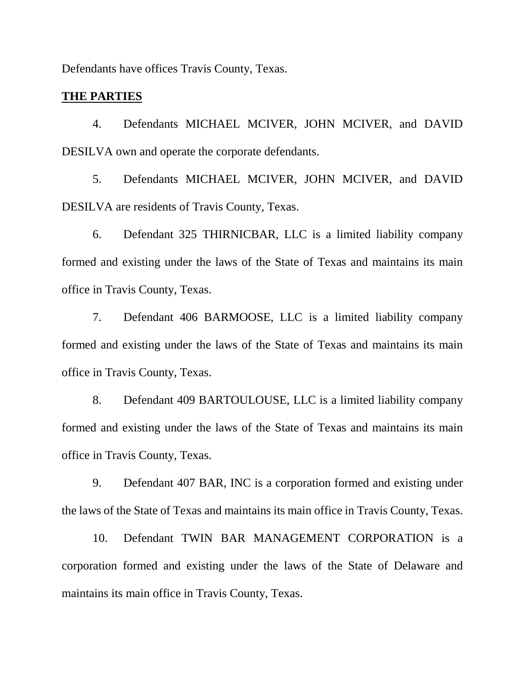Defendants have offices Travis County, Texas.

### **THE PARTIES**

4. Defendants MICHAEL MCIVER, JOHN MCIVER, and DAVID DESILVA own and operate the corporate defendants.

5. Defendants MICHAEL MCIVER, JOHN MCIVER, and DAVID DESILVA are residents of Travis County, Texas.

6. Defendant 325 THIRNICBAR, LLC is a limited liability company formed and existing under the laws of the State of Texas and maintains its main office in Travis County, Texas.

7. Defendant 406 BARMOOSE, LLC is a limited liability company formed and existing under the laws of the State of Texas and maintains its main office in Travis County, Texas.

8. Defendant 409 BARTOULOUSE, LLC is a limited liability company formed and existing under the laws of the State of Texas and maintains its main office in Travis County, Texas.

9. Defendant 407 BAR, INC is a corporation formed and existing under the laws of the State of Texas and maintains its main office in Travis County, Texas.

10. Defendant TWIN BAR MANAGEMENT CORPORATION is a corporation formed and existing under the laws of the State of Delaware and maintains its main office in Travis County, Texas.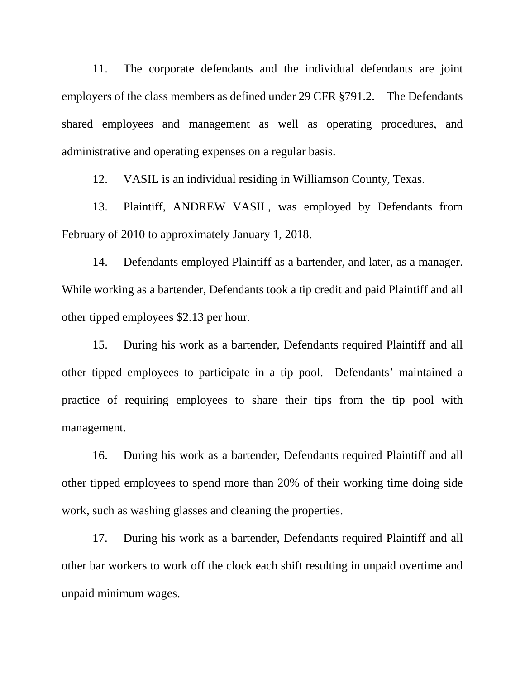11. The corporate defendants and the individual defendants are joint employers of the class members as defined under 29 CFR §791.2. The Defendants shared employees and management as well as operating procedures, and administrative and operating expenses on a regular basis.

12. VASIL is an individual residing in Williamson County, Texas.

13. Plaintiff, ANDREW VASIL, was employed by Defendants from February of 2010 to approximately January 1, 2018.

14. Defendants employed Plaintiff as a bartender, and later, as a manager. While working as a bartender, Defendants took a tip credit and paid Plaintiff and all other tipped employees \$2.13 per hour.

15. During his work as a bartender, Defendants required Plaintiff and all other tipped employees to participate in a tip pool. Defendants' maintained a practice of requiring employees to share their tips from the tip pool with management.

16. During his work as a bartender, Defendants required Plaintiff and all other tipped employees to spend more than 20% of their working time doing side work, such as washing glasses and cleaning the properties.

17. During his work as a bartender, Defendants required Plaintiff and all other bar workers to work off the clock each shift resulting in unpaid overtime and unpaid minimum wages.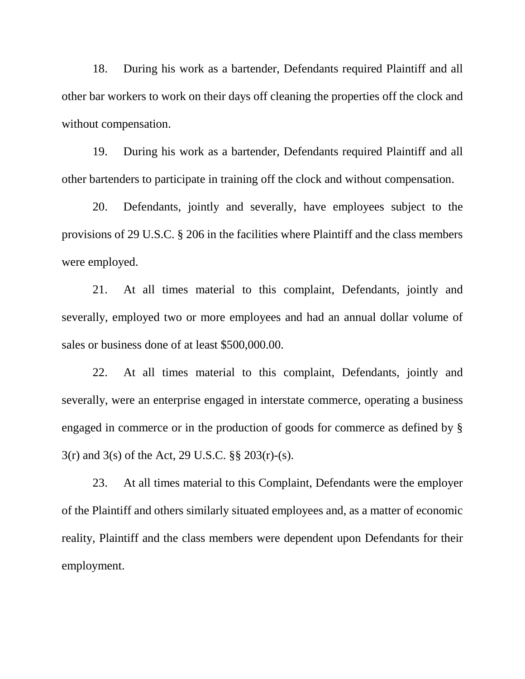18. During his work as a bartender, Defendants required Plaintiff and all other bar workers to work on their days off cleaning the properties off the clock and without compensation.

19. During his work as a bartender, Defendants required Plaintiff and all other bartenders to participate in training off the clock and without compensation.

20. Defendants, jointly and severally, have employees subject to the provisions of 29 U.S.C. § 206 in the facilities where Plaintiff and the class members were employed.

21. At all times material to this complaint, Defendants, jointly and severally, employed two or more employees and had an annual dollar volume of sales or business done of at least \$500,000.00.

22. At all times material to this complaint, Defendants, jointly and severally, were an enterprise engaged in interstate commerce, operating a business engaged in commerce or in the production of goods for commerce as defined by § 3(r) and 3(s) of the Act, 29 U.S.C. §§ 203(r)-(s).

23. At all times material to this Complaint, Defendants were the employer of the Plaintiff and others similarly situated employees and, as a matter of economic reality, Plaintiff and the class members were dependent upon Defendants for their employment.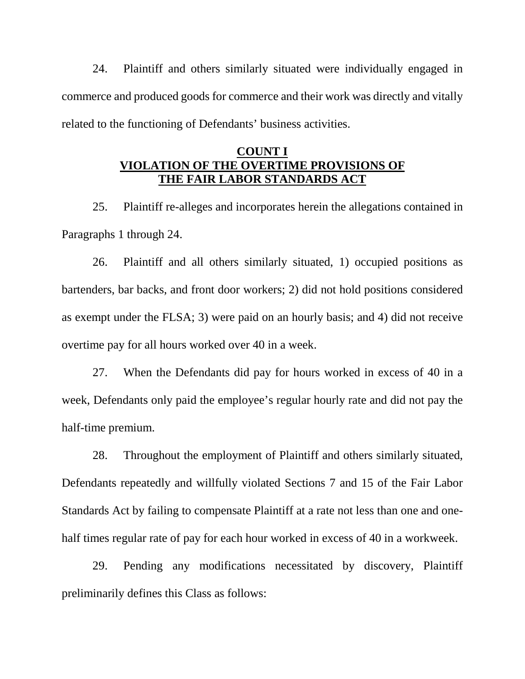24. Plaintiff and others similarly situated were individually engaged in commerce and produced goods for commerce and their work was directly and vitally related to the functioning of Defendants' business activities.

## **COUNT I VIOLATION OF THE OVERTIME PROVISIONS OF THE FAIR LABOR STANDARDS ACT**

25. Plaintiff re-alleges and incorporates herein the allegations contained in Paragraphs 1 through 24.

26. Plaintiff and all others similarly situated, 1) occupied positions as bartenders, bar backs, and front door workers; 2) did not hold positions considered as exempt under the FLSA; 3) were paid on an hourly basis; and 4) did not receive overtime pay for all hours worked over 40 in a week.

27. When the Defendants did pay for hours worked in excess of 40 in a week, Defendants only paid the employee's regular hourly rate and did not pay the half-time premium.

28. Throughout the employment of Plaintiff and others similarly situated, Defendants repeatedly and willfully violated Sections 7 and 15 of the Fair Labor Standards Act by failing to compensate Plaintiff at a rate not less than one and onehalf times regular rate of pay for each hour worked in excess of 40 in a workweek.

29. Pending any modifications necessitated by discovery, Plaintiff preliminarily defines this Class as follows: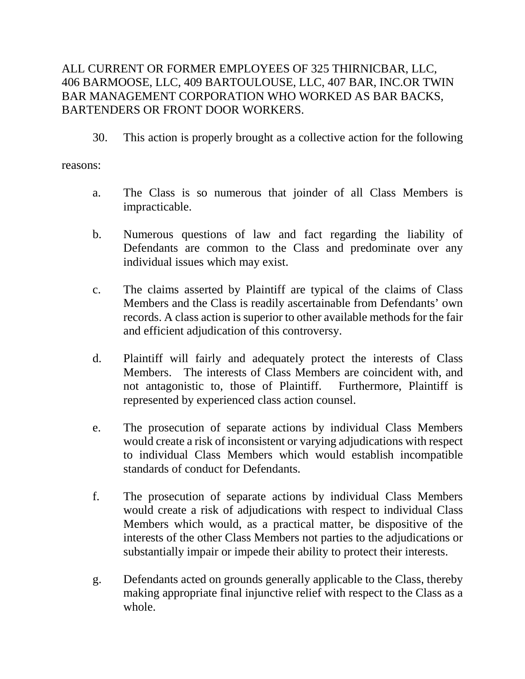# ALL CURRENT OR FORMER EMPLOYEES OF 325 THIRNICBAR, LLC, 406 BARMOOSE, LLC, 409 BARTOULOUSE, LLC, 407 BAR, INC.OR TWIN BAR MANAGEMENT CORPORATION WHO WORKED AS BAR BACKS, BARTENDERS OR FRONT DOOR WORKERS.

30. This action is properly brought as a collective action for the following

reasons:

- a. The Class is so numerous that joinder of all Class Members is impracticable.
- b. Numerous questions of law and fact regarding the liability of Defendants are common to the Class and predominate over any individual issues which may exist.
- c. The claims asserted by Plaintiff are typical of the claims of Class Members and the Class is readily ascertainable from Defendants' own records. A class action is superior to other available methods for the fair and efficient adjudication of this controversy.
- d. Plaintiff will fairly and adequately protect the interests of Class Members. The interests of Class Members are coincident with, and not antagonistic to, those of Plaintiff. Furthermore, Plaintiff is represented by experienced class action counsel.
- e. The prosecution of separate actions by individual Class Members would create a risk of inconsistent or varying adjudications with respect to individual Class Members which would establish incompatible standards of conduct for Defendants.
- f. The prosecution of separate actions by individual Class Members would create a risk of adjudications with respect to individual Class Members which would, as a practical matter, be dispositive of the interests of the other Class Members not parties to the adjudications or substantially impair or impede their ability to protect their interests.
- g. Defendants acted on grounds generally applicable to the Class, thereby making appropriate final injunctive relief with respect to the Class as a whole.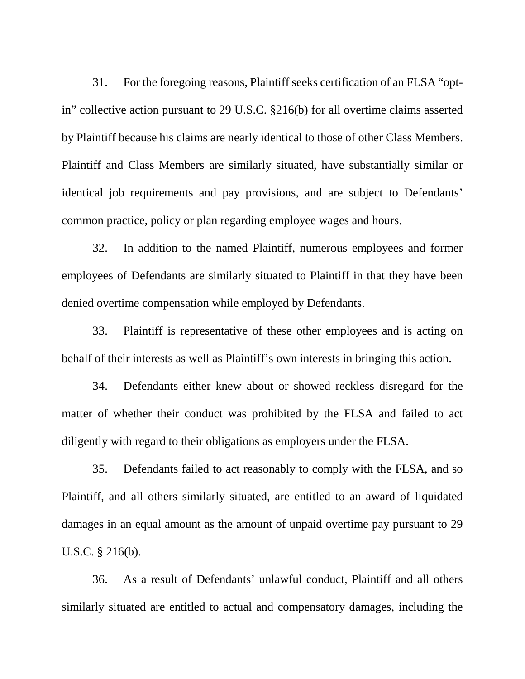31. For the foregoing reasons, Plaintiff seeks certification of an FLSA "optin" collective action pursuant to 29 U.S.C. §216(b) for all overtime claims asserted by Plaintiff because his claims are nearly identical to those of other Class Members. Plaintiff and Class Members are similarly situated, have substantially similar or identical job requirements and pay provisions, and are subject to Defendants' common practice, policy or plan regarding employee wages and hours.

32. In addition to the named Plaintiff, numerous employees and former employees of Defendants are similarly situated to Plaintiff in that they have been denied overtime compensation while employed by Defendants.

33. Plaintiff is representative of these other employees and is acting on behalf of their interests as well as Plaintiff's own interests in bringing this action.

34. Defendants either knew about or showed reckless disregard for the matter of whether their conduct was prohibited by the FLSA and failed to act diligently with regard to their obligations as employers under the FLSA.

35. Defendants failed to act reasonably to comply with the FLSA, and so Plaintiff, and all others similarly situated, are entitled to an award of liquidated damages in an equal amount as the amount of unpaid overtime pay pursuant to 29 U.S.C. § 216(b).

36. As a result of Defendants' unlawful conduct, Plaintiff and all others similarly situated are entitled to actual and compensatory damages, including the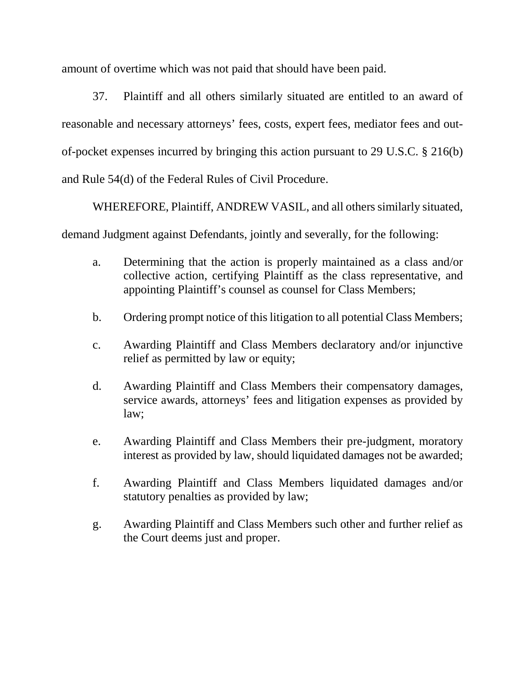amount of overtime which was not paid that should have been paid.

37. Plaintiff and all others similarly situated are entitled to an award of reasonable and necessary attorneys' fees, costs, expert fees, mediator fees and outof-pocket expenses incurred by bringing this action pursuant to 29 U.S.C. § 216(b) and Rule 54(d) of the Federal Rules of Civil Procedure.

WHEREFORE, Plaintiff, ANDREW VASIL, and all others similarly situated, demand Judgment against Defendants, jointly and severally, for the following:

- a. Determining that the action is properly maintained as a class and/or collective action, certifying Plaintiff as the class representative, and appointing Plaintiff's counsel as counsel for Class Members;
- b. Ordering prompt notice of this litigation to all potential Class Members;
- c. Awarding Plaintiff and Class Members declaratory and/or injunctive relief as permitted by law or equity;
- d. Awarding Plaintiff and Class Members their compensatory damages, service awards, attorneys' fees and litigation expenses as provided by law;
- e. Awarding Plaintiff and Class Members their pre-judgment, moratory interest as provided by law, should liquidated damages not be awarded;
- f. Awarding Plaintiff and Class Members liquidated damages and/or statutory penalties as provided by law;
- g. Awarding Plaintiff and Class Members such other and further relief as the Court deems just and proper.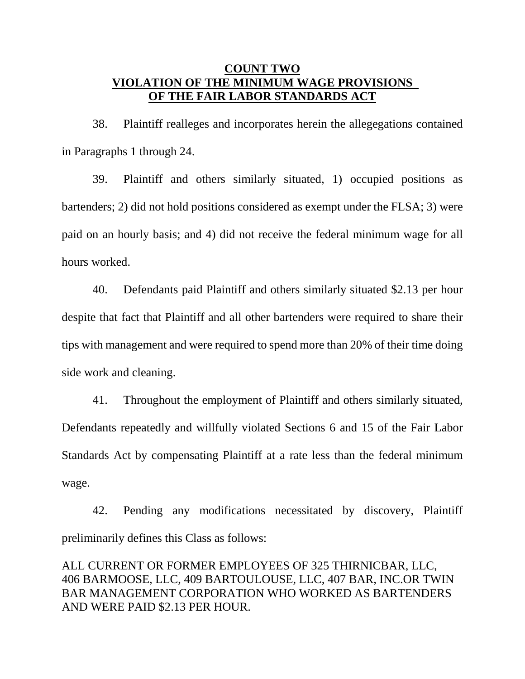### **COUNT TWO VIOLATION OF THE MINIMUM WAGE PROVISIONS OF THE FAIR LABOR STANDARDS ACT**

38. Plaintiff realleges and incorporates herein the allegegations contained in Paragraphs 1 through 24.

39. Plaintiff and others similarly situated, 1) occupied positions as bartenders; 2) did not hold positions considered as exempt under the FLSA; 3) were paid on an hourly basis; and 4) did not receive the federal minimum wage for all hours worked.

40. Defendants paid Plaintiff and others similarly situated \$2.13 per hour despite that fact that Plaintiff and all other bartenders were required to share their tips with management and were required to spend more than 20% of their time doing side work and cleaning.

41. Throughout the employment of Plaintiff and others similarly situated, Defendants repeatedly and willfully violated Sections 6 and 15 of the Fair Labor Standards Act by compensating Plaintiff at a rate less than the federal minimum wage.

42. Pending any modifications necessitated by discovery, Plaintiff preliminarily defines this Class as follows:

ALL CURRENT OR FORMER EMPLOYEES OF 325 THIRNICBAR, LLC, 406 BARMOOSE, LLC, 409 BARTOULOUSE, LLC, 407 BAR, INC.OR TWIN BAR MANAGEMENT CORPORATION WHO WORKED AS BARTENDERS AND WERE PAID \$2.13 PER HOUR.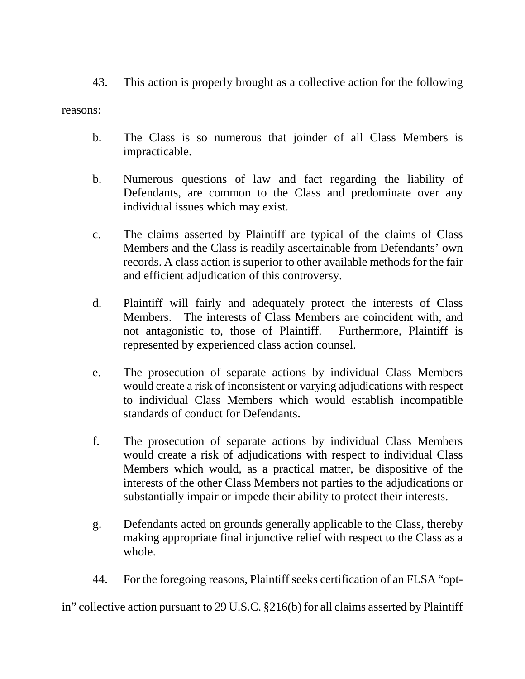43. This action is properly brought as a collective action for the following

reasons:

- b. The Class is so numerous that joinder of all Class Members is impracticable.
- b. Numerous questions of law and fact regarding the liability of Defendants, are common to the Class and predominate over any individual issues which may exist.
- c. The claims asserted by Plaintiff are typical of the claims of Class Members and the Class is readily ascertainable from Defendants' own records. A class action is superior to other available methods for the fair and efficient adjudication of this controversy.
- d. Plaintiff will fairly and adequately protect the interests of Class Members. The interests of Class Members are coincident with, and not antagonistic to, those of Plaintiff. Furthermore, Plaintiff is represented by experienced class action counsel.
- e. The prosecution of separate actions by individual Class Members would create a risk of inconsistent or varying adjudications with respect to individual Class Members which would establish incompatible standards of conduct for Defendants.
- f. The prosecution of separate actions by individual Class Members would create a risk of adjudications with respect to individual Class Members which would, as a practical matter, be dispositive of the interests of the other Class Members not parties to the adjudications or substantially impair or impede their ability to protect their interests.
- g. Defendants acted on grounds generally applicable to the Class, thereby making appropriate final injunctive relief with respect to the Class as a whole.
- 44. For the foregoing reasons, Plaintiff seeks certification of an FLSA "opt-

in" collective action pursuant to 29 U.S.C. §216(b) for all claims asserted by Plaintiff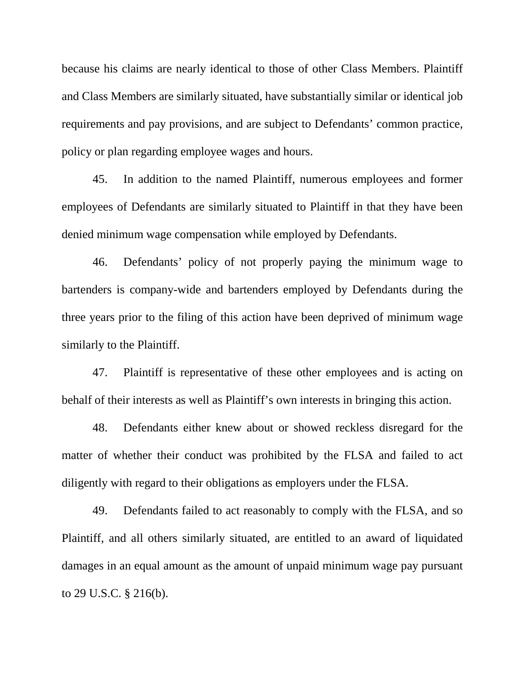because his claims are nearly identical to those of other Class Members. Plaintiff and Class Members are similarly situated, have substantially similar or identical job requirements and pay provisions, and are subject to Defendants' common practice, policy or plan regarding employee wages and hours.

45. In addition to the named Plaintiff, numerous employees and former employees of Defendants are similarly situated to Plaintiff in that they have been denied minimum wage compensation while employed by Defendants.

46. Defendants' policy of not properly paying the minimum wage to bartenders is company-wide and bartenders employed by Defendants during the three years prior to the filing of this action have been deprived of minimum wage similarly to the Plaintiff.

47. Plaintiff is representative of these other employees and is acting on behalf of their interests as well as Plaintiff's own interests in bringing this action.

48. Defendants either knew about or showed reckless disregard for the matter of whether their conduct was prohibited by the FLSA and failed to act diligently with regard to their obligations as employers under the FLSA.

49. Defendants failed to act reasonably to comply with the FLSA, and so Plaintiff, and all others similarly situated, are entitled to an award of liquidated damages in an equal amount as the amount of unpaid minimum wage pay pursuant to 29 U.S.C. § 216(b).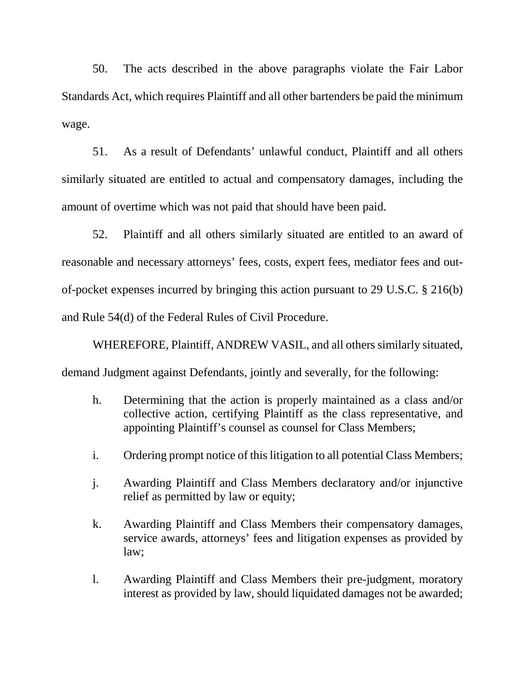50. The acts described in the above paragraphs violate the Fair Labor Standards Act, which requires Plaintiff and all other bartenders be paid the minimum wage.

51. As a result of Defendants' unlawful conduct, Plaintiff and all others similarly situated are entitled to actual and compensatory damages, including the amount of overtime which was not paid that should have been paid.

52. Plaintiff and all others similarly situated are entitled to an award of reasonable and necessary attorneys' fees, costs, expert fees, mediator fees and outof-pocket expenses incurred by bringing this action pursuant to 29 U.S.C. § 216(b) and Rule 54(d) of the Federal Rules of Civil Procedure.

WHEREFORE, Plaintiff, ANDREW VASIL, and all others similarly situated, demand Judgment against Defendants, jointly and severally, for the following:

- h. Determining that the action is properly maintained as a class and/or collective action, certifying Plaintiff as the class representative, and appointing Plaintiff's counsel as counsel for Class Members;
- i. Ordering prompt notice of this litigation to all potential Class Members;
- j. Awarding Plaintiff and Class Members declaratory and/or injunctive relief as permitted by law or equity;
- k. Awarding Plaintiff and Class Members their compensatory damages, service awards, attorneys' fees and litigation expenses as provided by law;
- l. Awarding Plaintiff and Class Members their pre-judgment, moratory interest as provided by law, should liquidated damages not be awarded;